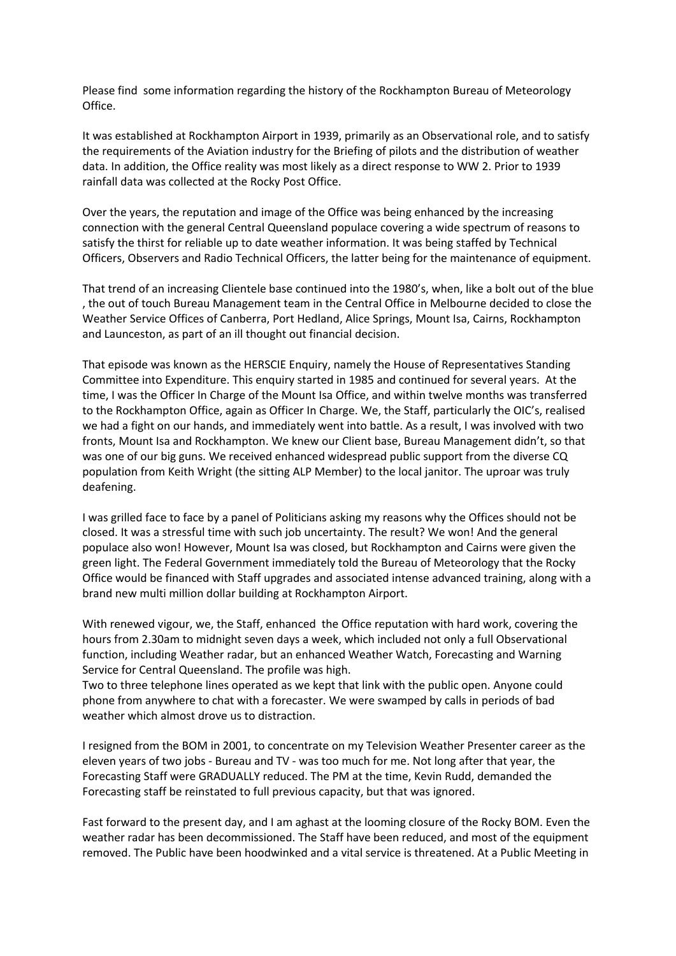Please find some information regarding the history of the Rockhampton Bureau of Meteorology Office.

It was established at Rockhampton Airport in 1939, primarily as an Observational role, and to satisfy the requirements of the Aviation industry for the Briefing of pilots and the distribution of weather data. In addition, the Office reality was most likely as a direct response to WW 2. Prior to 1939 rainfall data was collected at the Rocky Post Office.

Over the years, the reputation and image of the Office was being enhanced by the increasing connection with the general Central Queensland populace covering a wide spectrum of reasons to satisfy the thirst for reliable up to date weather information. It was being staffed by Technical Officers, Observers and Radio Technical Officers, the latter being for the maintenance of equipment.

That trend of an increasing Clientele base continued into the 1980's, when, like a bolt out of the blue , the out of touch Bureau Management team in the Central Office in Melbourne decided to close the Weather Service Offices of Canberra, Port Hedland, Alice Springs, Mount Isa, Cairns, Rockhampton and Launceston, as part of an ill thought out financial decision.

That episode was known as the HERSCIE Enquiry, namely the House of Representatives Standing Committee into Expenditure. This enquiry started in 1985 and continued for several years. At the time, I was the Officer In Charge of the Mount Isa Office, and within twelve months was transferred to the Rockhampton Office, again as Officer In Charge. We, the Staff, particularly the OIC's, realised we had a fight on our hands, and immediately went into battle. As a result, I was involved with two fronts, Mount Isa and Rockhampton. We knew our Client base, Bureau Management didn't, so that was one of our big guns. We received enhanced widespread public support from the diverse CQ population from Keith Wright (the sitting ALP Member) to the local janitor. The uproar was truly deafening.

I was grilled face to face by a panel of Politicians asking my reasons why the Offices should not be closed. It was a stressful time with such job uncertainty. The result? We won! And the general populace also won! However, Mount Isa was closed, but Rockhampton and Cairns were given the green light. The Federal Government immediately told the Bureau of Meteorology that the Rocky Office would be financed with Staff upgrades and associated intense advanced training, along with a brand new multi million dollar building at Rockhampton Airport.

With renewed vigour, we, the Staff, enhanced the Office reputation with hard work, covering the hours from 2.30am to midnight seven days a week, which included not only a full Observational function, including Weather radar, but an enhanced Weather Watch, Forecasting and Warning Service for Central Queensland. The profile was high.

Two to three telephone lines operated as we kept that link with the public open. Anyone could phone from anywhere to chat with a forecaster. We were swamped by calls in periods of bad weather which almost drove us to distraction.

I resigned from the BOM in 2001, to concentrate on my Television Weather Presenter career as the eleven years of two jobs - Bureau and TV - was too much for me. Not long after that year, the Forecasting Staff were GRADUALLY reduced. The PM at the time, Kevin Rudd, demanded the Forecasting staff be reinstated to full previous capacity, but that was ignored.

Fast forward to the present day, and I am aghast at the looming closure of the Rocky BOM. Even the weather radar has been decommissioned. The Staff have been reduced, and most of the equipment removed. The Public have been hoodwinked and a vital service is threatened. At a Public Meeting in